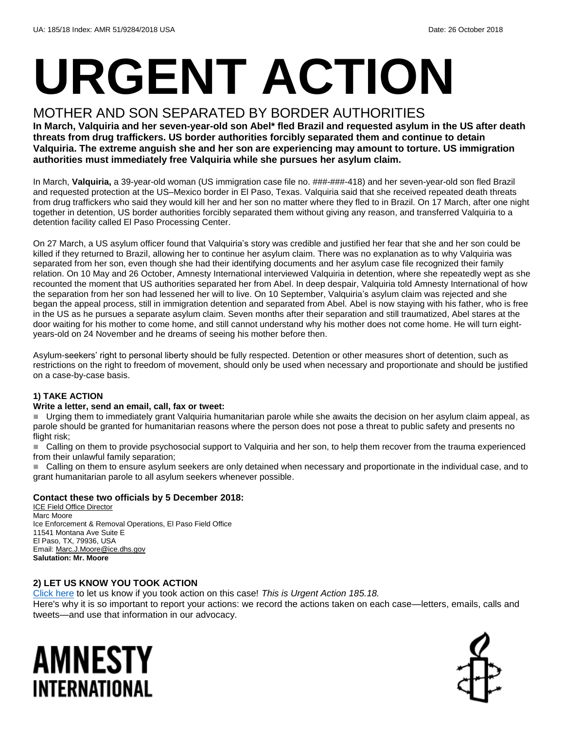# **URGENT ACTION**

### MOTHER AND SON SEPARATED BY BORDER AUTHORITIES

**In March, Valquiria and her seven-year-old son Abel\* fled Brazil and requested asylum in the US after death threats from drug traffickers. US border authorities forcibly separated them and continue to detain Valquiria. The extreme anguish she and her son are experiencing may amount to torture. US immigration authorities must immediately free Valquiria while she pursues her asylum claim.**

In March, **Valquiria,** a 39-year-old woman (US immigration case file no. ###-###-418) and her seven-year-old son fled Brazil and requested protection at the US–Mexico border in El Paso, Texas. Valquiria said that she received repeated death threats from drug traffickers who said they would kill her and her son no matter where they fled to in Brazil. On 17 March, after one night together in detention, US border authorities forcibly separated them without giving any reason, and transferred Valquiria to a detention facility called El Paso Processing Center.

On 27 March, a US asylum officer found that Valquiria's story was credible and justified her fear that she and her son could be killed if they returned to Brazil, allowing her to continue her asylum claim. There was no explanation as to why Valquiria was separated from her son, even though she had their identifying documents and her asylum case file recognized their family relation. On 10 May and 26 October, Amnesty International interviewed Valquiria in detention, where she repeatedly wept as she recounted the moment that US authorities separated her from Abel. In deep despair, Valquiria told Amnesty International of how the separation from her son had lessened her will to live. On 10 September, Valquiria's asylum claim was rejected and she began the appeal process, still in immigration detention and separated from Abel. Abel is now staying with his father, who is free in the US as he pursues a separate asylum claim. Seven months after their separation and still traumatized, Abel stares at the door waiting for his mother to come home, and still cannot understand why his mother does not come home. He will turn eightyears-old on 24 November and he dreams of seeing his mother before then.

Asylum-seekers' right to personal liberty should be fully respected. Detention or other measures short of detention, such as restrictions on the right to freedom of movement, should only be used when necessary and proportionate and should be justified on a case-by-case basis.

#### **1) TAKE ACTION**

#### **Write a letter, send an email, call, fax or tweet:**

Urging them to immediately grant Valquiria humanitarian parole while she awaits the decision on her asylum claim appeal, as parole should be granted for humanitarian reasons where the person does not pose a threat to public safety and presents no flight risk;

■ Calling on them to provide psychosocial support to Valguiria and her son, to help them recover from the trauma experienced from their unlawful family separation;

 Calling on them to ensure asylum seekers are only detained when necessary and proportionate in the individual case, and to grant humanitarian parole to all asylum seekers whenever possible.

#### **Contact these two officials by 5 December 2018:**

ICE Field Office Director Marc Moore Ice Enforcement & Removal Operations, El Paso Field Office 11541 Montana Ave Suite E El Paso, TX, 79936, USA Email[: Marc.J.Moore@ice.dhs.gov](mailto:Marc.J.Moore@ice.dhs.gov) **Salutation: Mr. Moore**

#### **2) LET US KNOW YOU TOOK ACTION**

[Click here](https://www.amnestyusa.org/report-urgent-actions/) to let us know if you took action on this case! *This is Urgent Action 185.18.*

Here's why it is so important to report your actions: we record the actions taken on each case—letters, emails, calls and tweets—and use that information in our advocacy.